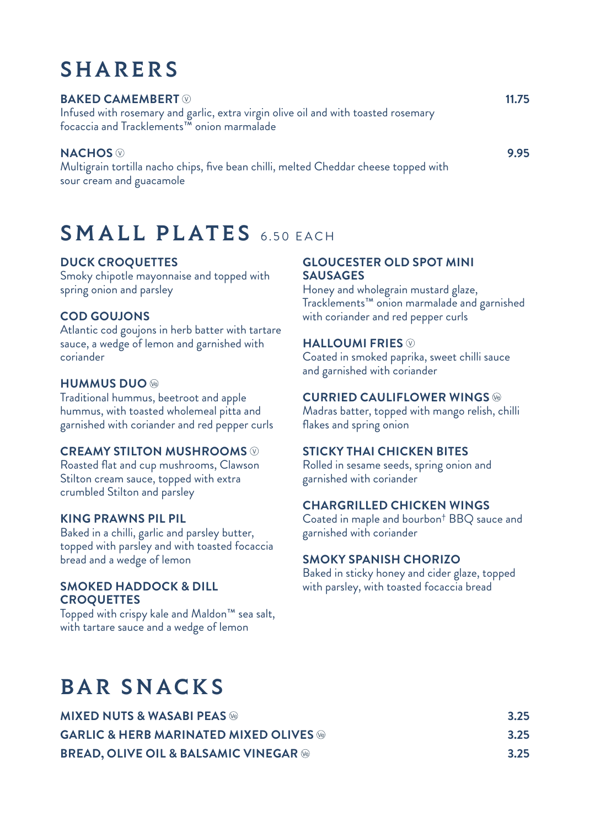# SHARERS

## **BAKED CAMEMBERT**  $\heartsuit$  and the contract of the contract of the contract of the contract of the contract of the contract of the contract of the contract of the contract of the contract of the contract of the contract of t

Infused with rosemary and garlic, extra virgin olive oil and with toasted rosemary focaccia and Tracklements™ onion marmalade

## **NACHOS ◉ 2.95** and 2.95

Multigrain tortilla nacho chips, five bean chilli, melted Cheddar cheese topped with sour cream and guacamole

## SMALL PLATES 6.50 EACH

#### **DUCK CROQUETTES**

Smoky chipotle mayonnaise and topped with spring onion and parsley

### **COD GOUJONS**

Atlantic cod goujons in herb batter with tartare sauce, a wedge of lemon and garnished with coriander

#### **HUMMUS DUO**

Traditional hummus, beetroot and apple hummus, with toasted wholemeal pitta and garnished with coriander and red pepper curls

#### **CREAMY STILTON MUSHROOMS**

Roasted flat and cup mushrooms, Clawson Stilton cream sauce, topped with extra crumbled Stilton and parsley

### **KING PRAWNS PIL PIL**

Baked in a chilli, garlic and parsley butter, topped with parsley and with toasted focaccia bread and a wedge of lemon

### **SMOKED HADDOCK & DILL CROQUETTES**

Topped with crispy kale and Maldon™ sea salt, with tartare sauce and a wedge of lemon

#### **GLOUCESTER OLD SPOT MINI SAUSAGES**

Honey and wholegrain mustard glaze, Tracklements™ onion marmalade and garnished with coriander and red pepper curls

#### **HALLOUMI FRIES**

Coated in smoked paprika, sweet chilli sauce and garnished with coriander

#### **CURRIED CAULIFLOWER WINGS**

Madras batter, topped with mango relish, chilli flakes and spring onion

## **STICKY THAI CHICKEN BITES**

Rolled in sesame seeds, spring onion and garnished with coriander

#### **CHARGRILLED CHICKEN WINGS**

Coated in maple and bourbon† BBQ sauce and garnished with coriander

#### **SMOKY SPANISH CHORIZO**

Baked in sticky honey and cider glaze, topped with parsley, with toasted focaccia bread

## BAR SNACKS

**MIXED NUTS & WASABI PEAS**  $\circledast$ **GARLIC & HERB MARINATED MIXED OLIVES 3.25 BREAD, OLIVE OIL & BALSAMIC VINEGAR**  $\circledast$  **3.25** 

- -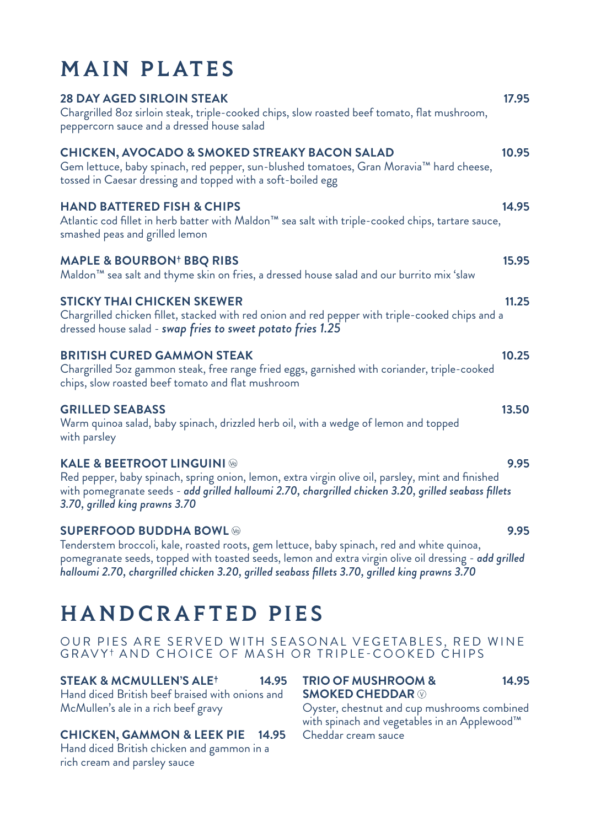# MAIN PLATES

| <b>28 DAY AGED SIRLOIN STEAK</b><br>Chargrilled 80z sirloin steak, triple-cooked chips, slow roasted beef tomato, flat mushroom,<br>peppercorn sauce and a dressed house salad                                                                                                                                                          | 17.95 |
|-----------------------------------------------------------------------------------------------------------------------------------------------------------------------------------------------------------------------------------------------------------------------------------------------------------------------------------------|-------|
| <b>CHICKEN, AVOCADO &amp; SMOKED STREAKY BACON SALAD</b><br>Gem lettuce, baby spinach, red pepper, sun-blushed tomatoes, Gran Moravia™ hard cheese,<br>tossed in Caesar dressing and topped with a soft-boiled egg                                                                                                                      | 10.95 |
| <b>HAND BATTERED FISH &amp; CHIPS</b><br>Atlantic cod fillet in herb batter with Maldon™ sea salt with triple-cooked chips, tartare sauce,<br>smashed peas and grilled lemon                                                                                                                                                            | 14.95 |
| <b>MAPLE &amp; BOURBON<sup>+</sup> BBQ RIBS</b><br>Maldon™ sea salt and thyme skin on fries, a dressed house salad and our burrito mix 'slaw                                                                                                                                                                                            | 15.95 |
| <b>STICKY THAI CHICKEN SKEWER</b><br>Chargrilled chicken fillet, stacked with red onion and red pepper with triple-cooked chips and a<br>dressed house salad - swap fries to sweet potato fries 1.25                                                                                                                                    | 11.25 |
| <b>BRITISH CURED GAMMON STEAK</b><br>Chargrilled 50z gammon steak, free range fried eggs, garnished with coriander, triple-cooked<br>chips, slow roasted beef tomato and flat mushroom                                                                                                                                                  | 10.25 |
| <b>GRILLED SEABASS</b><br>Warm quinoa salad, baby spinach, drizzled herb oil, with a wedge of lemon and topped<br>with parsley                                                                                                                                                                                                          | 13.50 |
| <b>KALE &amp; BEETROOT LINGUINI</b><br>Red pepper, baby spinach, spring onion, lemon, extra virgin olive oil, parsley, mint and finished<br>with pomegranate seeds - add grilled halloumi 2.70, chargrilled chicken 3.20, grilled seabass fillets<br>3.70, grilled king prawns 3.70                                                     | 9.95  |
| <b>SUPERFOOD BUDDHA BOWL®</b><br>Tenderstem broccoli, kale, roasted roots, gem lettuce, baby spinach, red and white quinoa,<br>pomegranate seeds, topped with toasted seeds, lemon and extra virgin olive oil dressing - add grilled<br>halloumi 2.70, chargrilled chicken 3.20, grilled seabass fillets 3.70, grilled king prawns 3.70 | 9.95  |

## HANDCRAFTED PIES

OUR PIES ARE SERVED WITH SEASONAL VEGETABLES, RED WINE GRAVY† AND CHOICE OF MASH OR TRIPLE-COOKED CHIPS

### **STEAK & MCMULLEN'S ALE† 14.95**

Hand diced British beef braised with onions and McMullen's ale in a rich beef gravy

#### **CHICKEN, GAMMON & LEEK PIE 14.95**

Hand diced British chicken and gammon in a rich cream and parsley sauce

## **TRIO OF MUSHROOM & 14.95 SMOKED CHEDDAR**

Oyster, chestnut and cup mushrooms combined with spinach and vegetables in an Applewood™ Cheddar cream sauce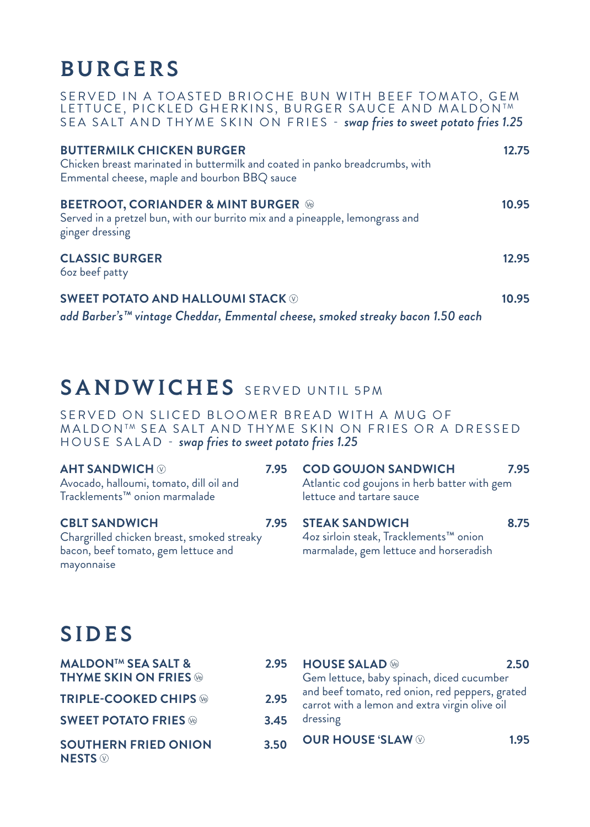## BURGERS

SERVED IN A TOASTED BRIOCHE BUN WITH BEEF TOMATO, GEM LETTUCE, PICKLED GHERKINS, BURGER SAUCE AND MALDON TM SEA SALT AND THYME SKIN ON FRIES - *swap fries to sweet potato fries* 1.25

| <b>BUTTERMILK CHICKEN BURGER</b><br>Chicken breast marinated in buttermilk and coated in panko breadcrumbs, with<br>Emmental cheese, maple and bourbon BBQ sauce                                                                                                                                                                                                                                                                                                                                                                                        |       |
|---------------------------------------------------------------------------------------------------------------------------------------------------------------------------------------------------------------------------------------------------------------------------------------------------------------------------------------------------------------------------------------------------------------------------------------------------------------------------------------------------------------------------------------------------------|-------|
| <b>BEETROOT, CORIANDER &amp; MINT BURGER @</b><br>Served in a pretzel bun, with our burrito mix and a pineapple, lemongrass and<br>ginger dressing                                                                                                                                                                                                                                                                                                                                                                                                      | 10.95 |
| <b>CLASSIC BURGER</b><br>boz beef patty                                                                                                                                                                                                                                                                                                                                                                                                                                                                                                                 | 12.95 |
| <b>SWEET POTATO AND HALLOUMI STACK <math>\odot</math></b><br>$\blacksquare$ $\blacksquare$ $\blacksquare$ $\blacksquare$ $\blacksquare$ $\blacksquare$ $\blacksquare$ $\blacksquare$ $\blacksquare$ $\blacksquare$ $\blacksquare$ $\blacksquare$ $\blacksquare$ $\blacksquare$ $\blacksquare$ $\blacksquare$ $\blacksquare$ $\blacksquare$ $\blacksquare$ $\blacksquare$ $\blacksquare$ $\blacksquare$ $\blacksquare$ $\blacksquare$ $\blacksquare$ $\blacksquare$ $\blacksquare$ $\blacksquare$ $\blacksquare$ $\blacksquare$ $\blacksquare$ $\blacks$ | 10.95 |

*add Barber's™ vintage Cheddar, Emmental cheese, smoked streaky bacon 1.50 each*

## SANDWICHES SERVED UNTIL SPM

SERVED ON SLICED BLOOMER BREAD WITH A MUG OF MALDON<sup>TM</sup> SEA SALT AND THYME SKIN ON FRIES OR A DRESSED HOUSE SALAD - *swap fries to sweet potato fries 1.25*

| <b>AHT SANDWICH ME</b><br>Avocado, halloumi, tomato, dill oil and<br>Tracklements™ onion marmalade        | 7.95 | <b>COD GOUJON SANDWICH</b><br>Atlantic cod goujons in herb batter with gem<br>lettuce and tartare sauce   | 7.95 |
|-----------------------------------------------------------------------------------------------------------|------|-----------------------------------------------------------------------------------------------------------|------|
| <b>CBLT SANDWICH</b><br>Chargrilled chicken breast, smoked streaky<br>bacon, beef tomato, gem lettuce and | 7.95 | <b>STEAK SANDWICH</b><br>4oz sirloin steak, Tracklements™ onion<br>marmalade, gem lettuce and horseradish | 8.75 |

# SIDES

mayonnaise

| <b>MALDON™ SEA SALT &amp;</b><br><b>THYME SKIN ON FRIES</b> | 2.95 | <b>HOUSE SALAD</b> $\circledcirc$<br>Gem lettuce, baby spinach, diced cucumber                    | 2.50 |
|-------------------------------------------------------------|------|---------------------------------------------------------------------------------------------------|------|
| <b>TRIPLE-COOKED CHIPS ®</b>                                | 2.95 | and beef tomato, red onion, red peppers, grated<br>carrot with a lemon and extra virgin olive oil |      |
| <b>SWEET POTATO FRIES</b>                                   | 3.45 | dressing                                                                                          |      |
| <b>SOUTHERN FRIED ONION</b><br><b>NESTS</b> $\circledcirc$  | 3.50 | <b>OUR HOUSE 'SLAW MID</b>                                                                        | 1.95 |